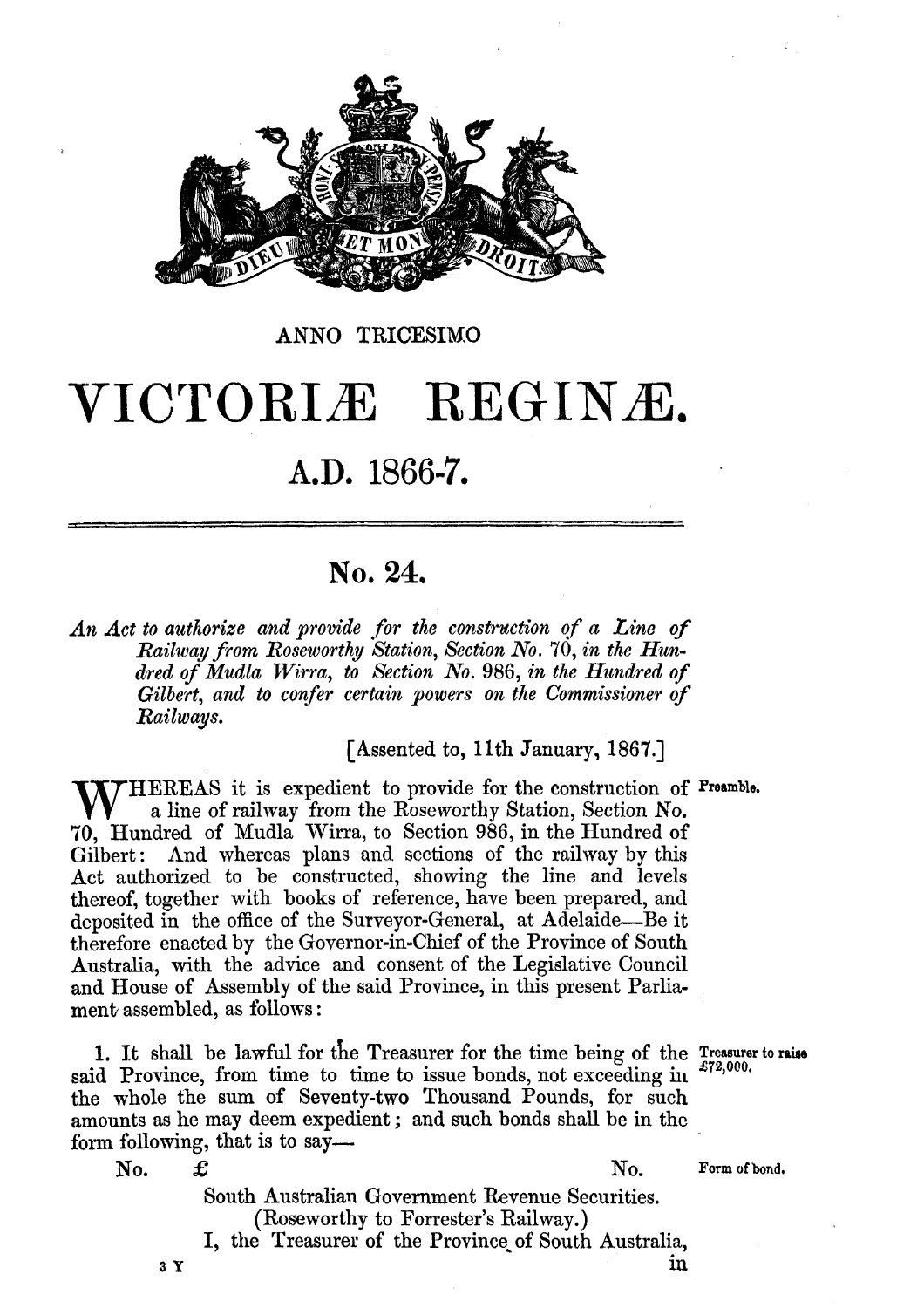

#### ANNO TRICESIMO

# VICTORIÆ REGINÆ.

## A.D. 1866-7.

### **No. 24.**

An Act to authorize and provide for the construction of a Line of *Railway from Roseworthy Htation, Section* **No,** *70, in the Hundred of Mudla Wirra, to Section No. 986, in the Hundred of Gilbert,* and *to confer certain powers on the Commissioner of Railways.* 

[Assented to, 11th January, **1867.1** 

**HEREAS** it is expedient to provide for the construction of Preamble. a line of railway from the Roseworthy Station, Section No. **70,** Hundred of Mudla Wirra, to Section 986, in the IIundred of Gilbert: And whereas plans and sections of the railway by this Act authorized to be constructed, showing the line and levels thereof, together with books of reference, have been prepared, and deposited in the office of the Surveyor-General, at Adelaide—Be it therefore enacted by the Governor-in-Chief of the Province of South Australia, with the advice and consent of the Legislative Council and House of Assembly of the said Province, in this present Parliament assembled, as follows :

1. It shall be lawful for the Treasurer for the time being of the *Treasurer* to raise said Province, from time to time to issue bonds, not exceeding in  $\frac{272,000}{ }$ . the whole the sum of Seventy-two Thousand Pounds, for such amounts as he may deem expedient ; and such bonds shall be in the form following, that is to say-

No.  $\pounds$  **No.** Form of bond,

South Australian Government Revenue Securities. (Roseworthy to Forrester's Railway.) I, the Treasurer of the Province of South Australia,  $3 Y$  in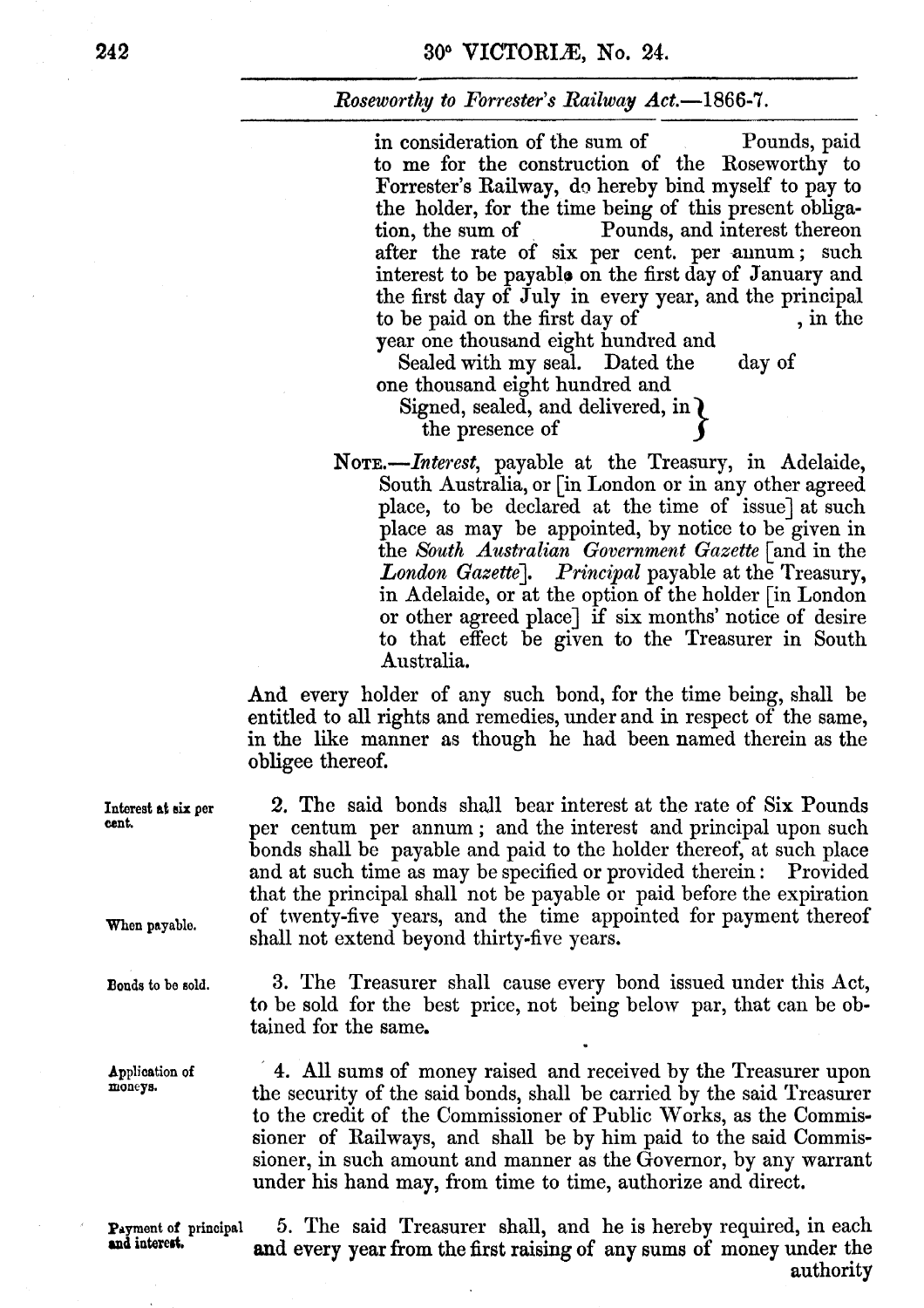#### **Roseworthy to Forrester's Railway Act.**—1866-7.

in consideration of the sum of Pounds, paid to me for the construction of the Roseworthy to Forrester's Railway, do hereby bind myself to pay to the holder, for the time being of this present obligation, the sum of Pounds, and interest thereon Pounds, and interest thereon after the rate of six per cent. per annum; such interest to be payable on the first day of January and the first day of July in every year, and the principal<br>to be paid on the first day of , in the year one thousand eight hundred and

Sealed with my seal. Dated the day of one thousand eight hundred and

Signed, sealed, and delivered, in  $\ell$ the presence of

*NOTE.-Interest,* payable at the Treasury, in Adelaide, South Australia, or [in London or in any other agreed place, to be declared at the time of issue] at such place as may be appointed, by notice to be given in the *Sbuth Australian Government Gazette* [and in the *London Gazette]. Principal* payable at the Treasury, in Adelaide, or at the option of the holder [in London or other agreed place] if six months' notice of desire to that effect be given to the Treasurer in South Australia,

And every holder of any such bond, for the time being, shall be entitled to all rights and remedies, under and in respect of the same, in the like manner as though he had been named therein as the obligee thereof.

**2.** The said bonds shall bear interest at the rate of Six Pounds per centum per annum ; and the interest and principal upon such bonds shall be payable and paid to the holder thereof, at such place and at such time as may be specified or provided therein : Provided that the principal shall not be payable or paid before the expiration of twenty-five years, and the time appointed for payment thereof shall not extend beyond thirty-five years.

**3,** The Treasurer shall cause every bond issued under this Act, **to** be sold for the best price, not being below par, that can be obtained for the same.

' 4. All sums of money raised and received by the Treasurer upon the security of the said bonds, shall be carried by the said Treasurer **to** the credit of the Commissioner of Public Works, as the Commissioner of Railways, and shall be by him paid to the said Commissioner, in such amount and manner as the Governor, by any warrant under his hand may, from time to time, authorize and direct.

**Payment of principal 5. The said Treasurer shall, and he is hereby required, in each and interest. and every year from the first raising of any sums of money under the** authority

**Interest at** *six* **per cant.** 

**When payable.** 

**Bonds to be gold.** 

**Application of moneya.**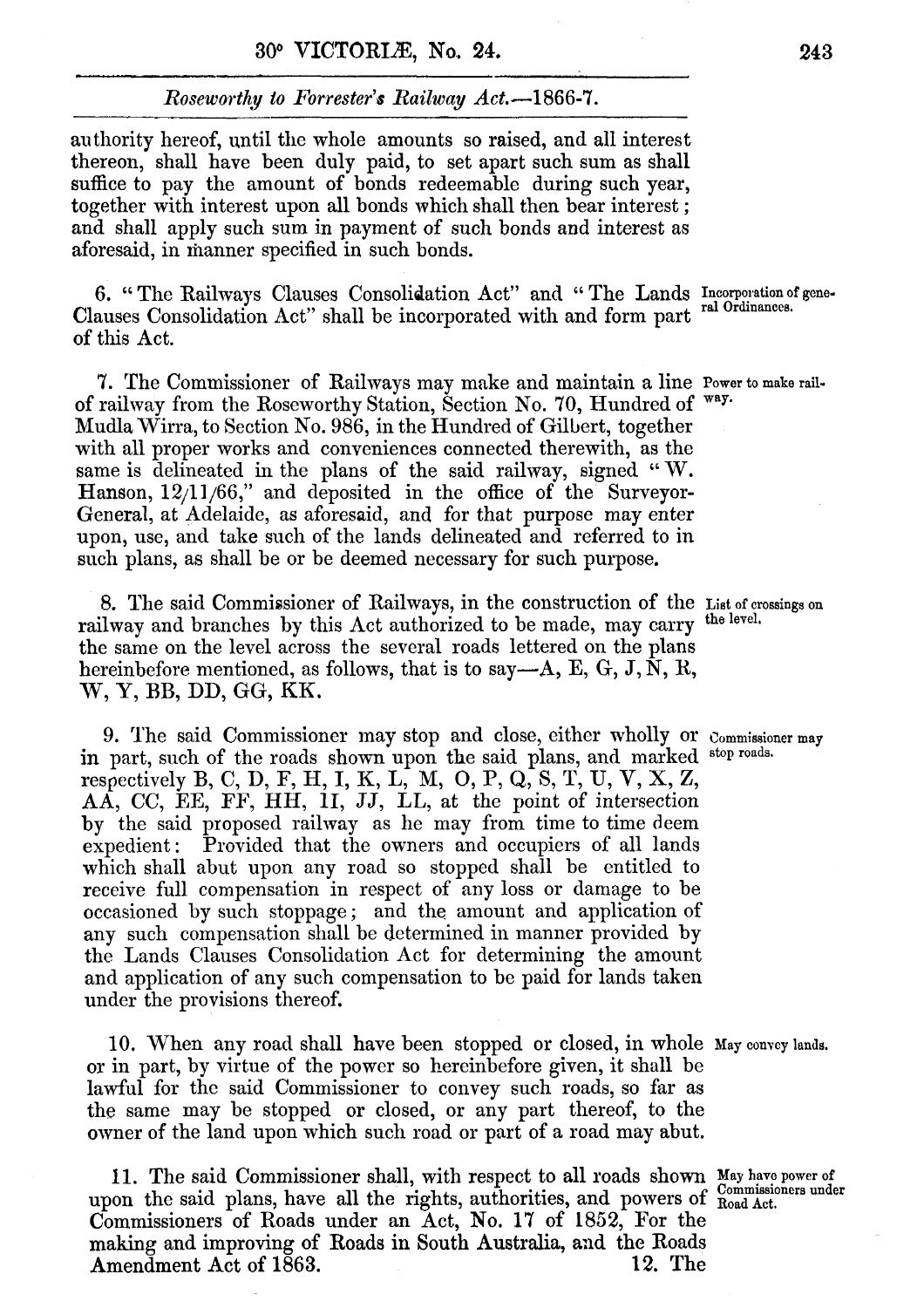#### *Roseworthy to Forrester's Ruilway Act.-1866-7.*

authority hereof, until the whole amounts so raised, and all interest thereon, shall have been duly paid, to set apart such sum as shall suffice to pay the amount of bonds redeemable during such year, together with interest upon all bonds which shall then bear interest ; and shall apply such sum in payment of such bonds **and** interest as aforesaid, in fianner specified in such bonds.

6. "The Railways Clauses Consolidation Act" and "The Lands Incorporation of gene-Clauses Consolidation Act" shall be incorporated with and form part **ral Ordinancca.**  of this Act.

**7.** The commissioner of Railways may make and maintain a line **Power** to **make** railof railway from the Roseworthy Station, Section No. 70, Hundred of way. Mudla Wirra, to Section No. 986, in the Hundred of Gilbert, together with all proper works and conveniences connected therewith, as the same is delineated in the plans of the said railway, signed "W. Hanson, **12/11/66,''** and deposited in the office of the Surveyor-General, at Adelaide, as aforesaid, and for that purpose may enter upon, use, and take such of the lands delineated and referred to in such plans, as shall be or be deemed necessary for such purpose.

8. The said Commissioner of Railways, in the construction of the List of crossings on railway and branches by this Act authorized to be made, may carry the level. the same on the level across the several roads lettered on the plans hereinbefore mentioned, as follows, that is to say-A, E, *G,* J, **N,** K, **W, Y,** BB, DD, *GG,* KK,

9. The said Commissioner may stop and close, either wholly or commissioner may in part, such of the roads shown upon the said plans, and marked stop roads. respectively B, C, D, F, H, I, K, **L,** M, *0,* P, **Q,** S, T, U, V, X, Z, AA, CC, EE, FF, HH, **11,** JJ, LL, at the point of intersection by the said proposed railway as he may from time to time deem expedient: Provided that the owners and occupiers of all lands which shall abut upon any road so stopped shall be entitled to receive full compensation in respect of any loss or damage to be occasioned by such stoppage; and the amount and application of any such compensation shall be determined in manner provided by the Lands Clauses Consolidation Act for determining the amount and application of any such compensation to be paid for lands taken under the provisions thereof.

10. When any road shall have been stopped or closed, in whole May convey lands. or in part, by virtue of the power so hereinbefore given, it shall be lawful for the said Commissioner to convey such roads, so far as the same may be stopped or closed, or any part thereof, to the owner of the land upon which such road or part of a road may abut.

**11.** The said Commissioner shall, with respect to all roads shown **May have** power of upon the said plans, have all the rights, authorities, and powers of  $\frac{\text{Commissioners under}}{\text{Read Act.}}$ Commissioners of Roads under an Act, No, l7 of 1852, For the making and improving of Roads in South Australia, and the Roads<br>Amendment Act of 1863. 12. The Amendment Act of 1863.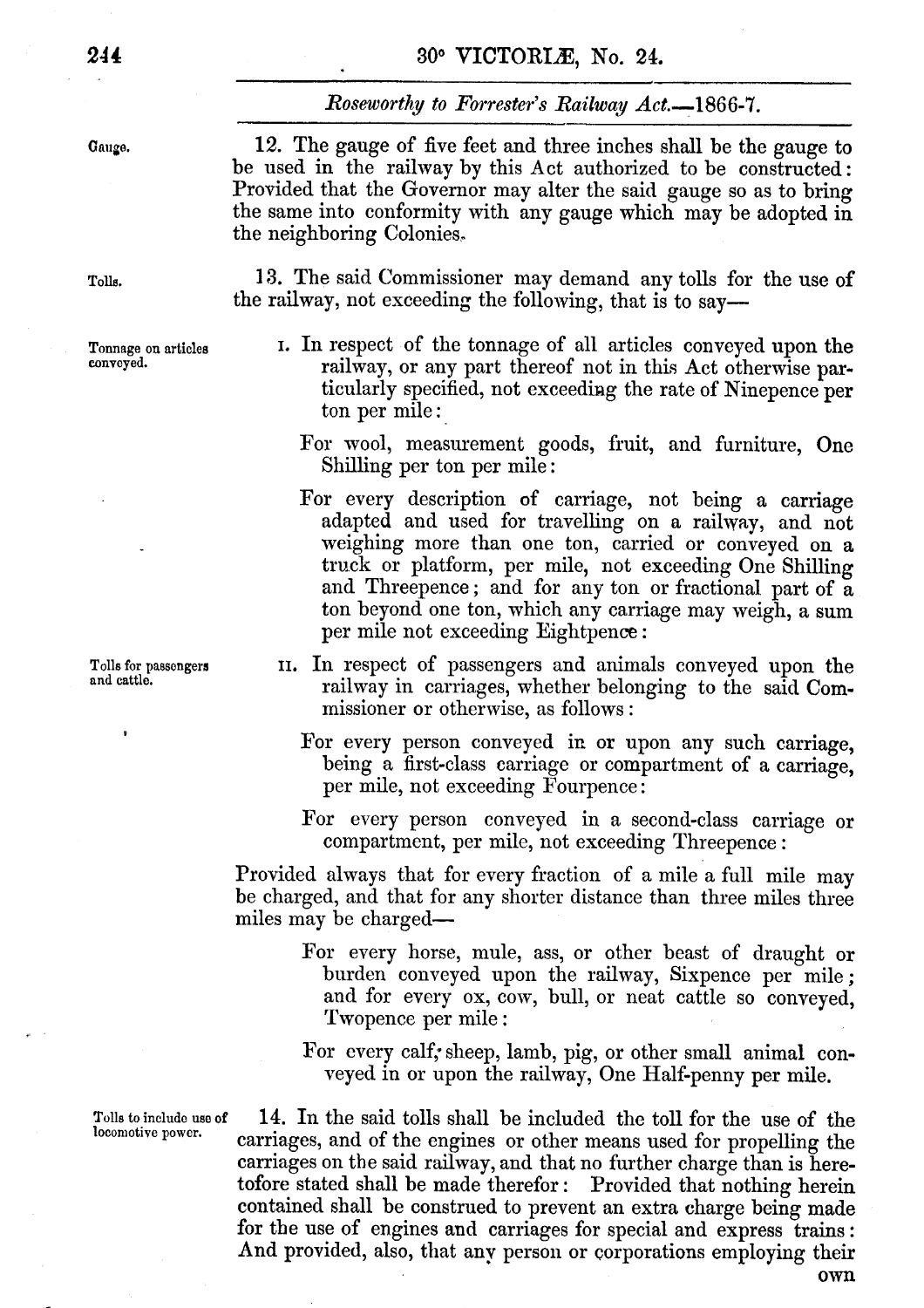#### **30. VICTORIB, No. 24.**

#### *Roseworthy to Forrester's Railway Act.* -1866-7.

Gauge.

**12.** The gauge of five feet and three inches shall be the gauge to be used in the railway by this Act authorized to be constructed: Provided that the Governor may alter the said gauge so as to bring the same into conformity with any gauge which may be adopted in the neighboring Colonies.\*

Tolls. **13.** The said Commissioner may demand any tolls for the use of the railway, not exceeding the following, that is to say—

- Tonnage on articles I. In respect of the tonnage of all articles conveyed upon the conveyed. railway, or any part thereof not in this Act otherwise particularly specified, not exceeding the rate of Ninepence per ton per mile :
	- For wool, measurement goods, fruit, and furniture, One Shilling per ton per mile :
	- For every description of carriage, not being a carriage adapted and wed for travelling on **a** railway, and not weighing more than one ton, carried or conveyed on a truck or platform, per mile, not exceeding One Shilling and Threepence ; and for any ton or fractional part of a ton beyond one ton, which any carriage may weigh, a **sum**  per mile not cxcceding Eightpence :
- Tolls for passengers 11. In respect of passengers and animals conveyed upon the and cattle. railway in carriages, whether belonging to the said Commissioner or otherwise, as follows :
	- For every person conveyed in or upon any such carriage, being a first-class carriage or compartment of a carriage, per mile, not exceeding Fourpence :
	- For every person conveyed in a second-class carriage or compartment, per milc, not exceeding Threepence :

Provided always that for every fraction of a mile a full mile may be charged, and that for any shorter distance than three miles three miles may be charged—

> For every horse, mule, ass, or other beast of draught or burden conveyed upon the railway, Sixpence per mile ; and for every ox, cow, bull, or neat cattle so conveyed, Twopence per mile :

> For every calf; sheep, lamb, pig, or other small animal conveyed in or upon the railway, One Half-penny per mile.

Tolls to include use of 14. In the said tolls shall be included the toll for the use of the locomotive power. carriages, and of the engines or other means used for propelling the carriages on the said railway, and that no further charge than is herethat the said railway, and that no further charge than is nere-<br>ofore stated shall be made therefor : Provided that nothing herein tofore stated shall be made therefor: Provided that nothing herein<br>contained shall be construed to prevent an extra charge being made for the use of engines and carriages for special and express trains : **And** provided, also, that anv person or corporations employing their **own**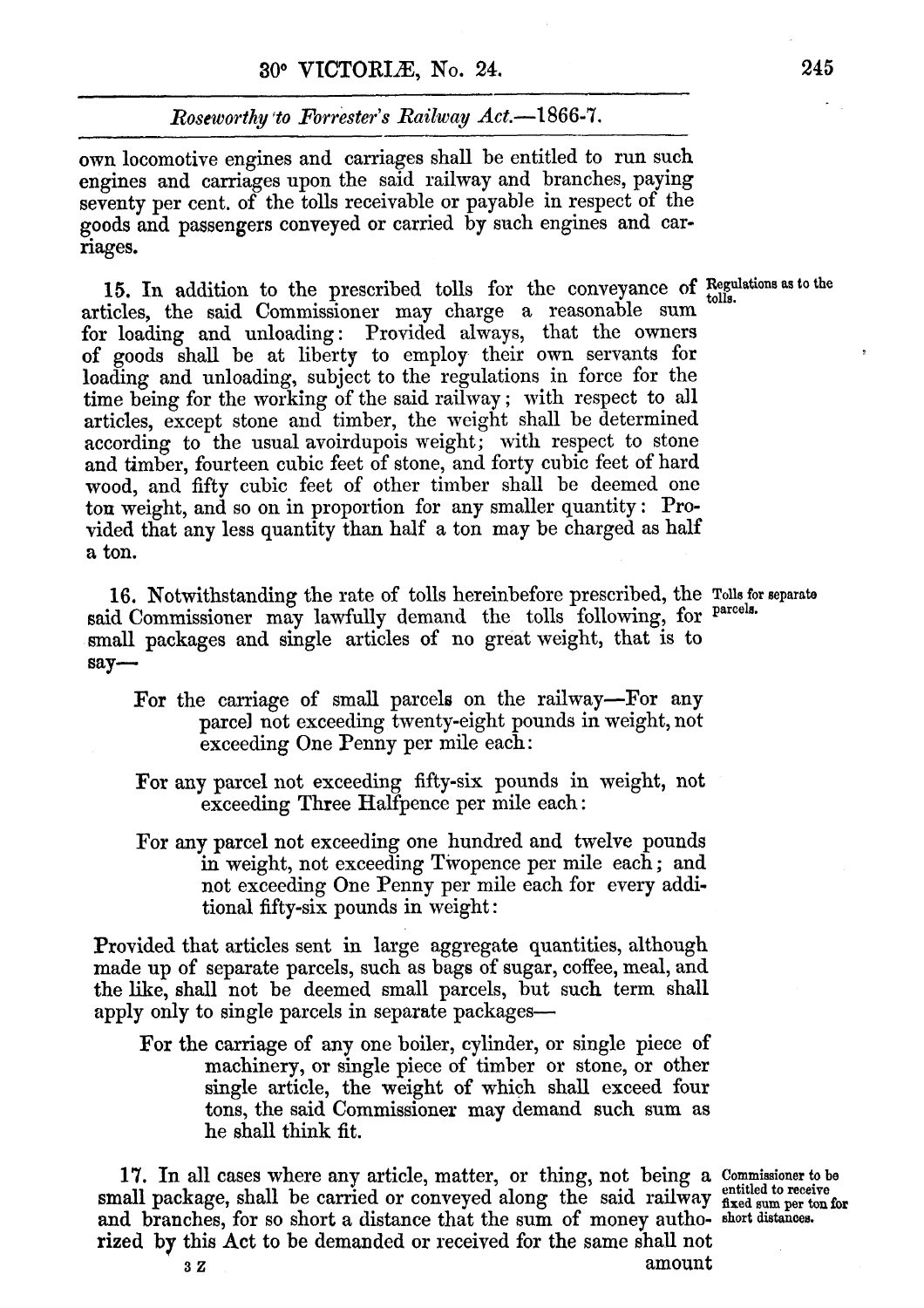#### *Roseworthy* **\*to** *Forrester's Railway Act.-1* **866-7.**

own locomotive engines and carriages shall be entitled to run such engines and carriages upon the said railway and branches, paying seventy per cent. of the tolls receivable or payable in respect of the goods and passengers conveyed or carried by such engines and carriages,

15. In addition to the prescribed tolls for the conveyance of Regulations as to the articles, the said Commissioner may charge a reasonable sum for loading and unloading: Provided always, that the owners of goods shall be at liberty to employ their own servants for loading and unloading, subject to the regulations in force for the time being for the working of the said railway ; with respect to all articles, except stone and timber, the weight shall be determined according to the usual avoirdupois weight; with respect to stone and timber, fourteen cubic feet of stone, and forty cubic feet of hard wood, and fifty cubic feet of other timber shall be deemed one ton weight, and so on in proportion for any smaller quantity : Provided that any less quantity than half a ton may be charged as half a ton.

16. Notwithstanding the rate of tolls hereinbefore prescribed, the Tolle for **separate**  said Commissioner may lawfully demand the tolls following, for **parcela.**  small packages and single articles of no great weight, that is to **say-**

- For the carriage of small parcels on the railway-For any parcel not exceeding twenty-eight pounds in weight, not exceeding One Penny per mile each :
- For any parcel not exceeding fifty-six pounds in weight, not exceeding Three Halfpence per mile each :
- For **my** parcel not exceeding one hundred and twelve pounds in weight, not exceeding Twopence per mile each; and not exceeding One Penny per mile each for every additional fifty-six pounds in weight:

Provided that articles sent in large aggregate quantities, although made up of separate parcels, such as bags of sugar, coffee, meal, and the **like,** shall not be deemed small parcels, but such term shall apply only to single parcels in separate packages--

For the carriage of any one boiler, cylinder, or single piece of machinery, or single piece of timber or stone, or other single article, the weight of which shall exceed four tons, the said Commissioner may demand such sum **as**  he ahall think fit.

**17.** In all cases where any article, matter, or thing, not being a Commissioner **to be**  small package, shall be carried or conveyed along the said railway *fixed* sum per ton i and branches, for so short a distance that the sum of money autho- short distances. rized by this Act to be demanded or received for the same shall not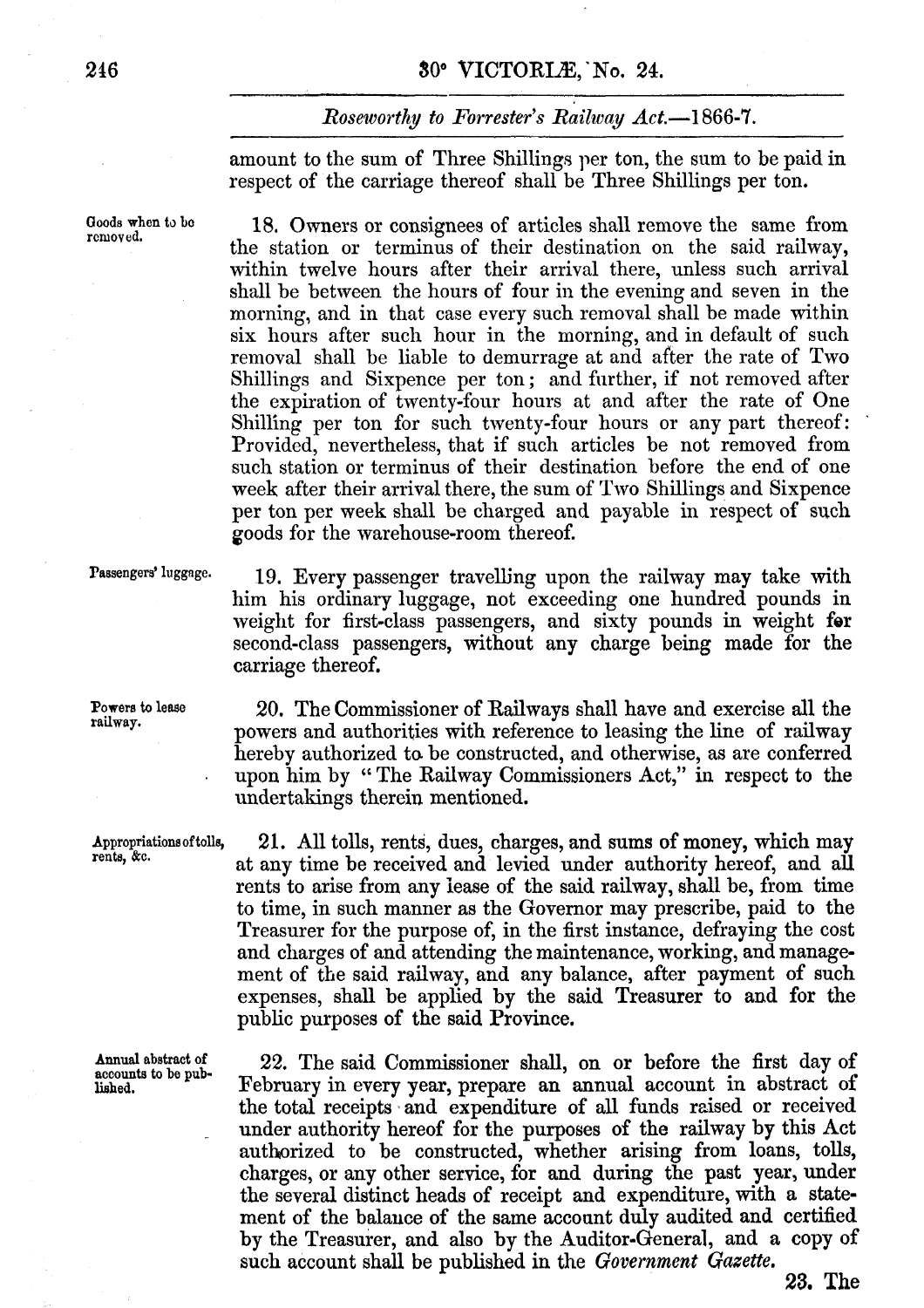#### *Roseworthy to Forrester's Railway Act.***-1866-7.**

amount to the sum of Three Shillings per ton, the sum to be paid in respect of the carriage thereof shall be Three Shillings per ton.

18. Owners or consignees of articles shall remove the same from the station or terminus of their destination on the said railway, within twelve hours after their arrival there, unless such arrival shall be between the hours of four in the evening and seven in the morning, and in that case every such removal shall be made within six hours after such hour in the morning, and in default of such removal shall be liable to demurrage at and after the rate of **Two**  Shillings and Sixpence per ton; and further, if not removed after the expiration of twenty-four hours at and after the rate of One Shilling per ton for such twenty-four hours or any part thereof: Provided, nevertheless, that if such articles be not removed from such station or terminus of their destination before the end of one week after their arrival there, the sum of Two Shillings and Sixpence per ton per week shall be charged and payable in respect of such goods for the warehouse-room thereof.

Powers to lease<br>railway.

**Annual abstract of** 

Passengers' luggage. 19. Every passenger travelling upon the railway may take with him his ordinary luggage, not exceeding one hundred pounds in weight for first-class passengers, and sixty pounds in weight for second-class passengers, without any charge being **made for** the carriage thereof.

> **railway.** 20. The Commissioner of Railways shall have **and** exercise **dl** the powers and authorities with reference to leasing the line of railway hereby authorized to be constructed, and otherwise, as are conferred upon him by The Railway Commissioners Act," in respect **to** the undertakings therein mentioned.

Appropriations of tolls, 21. All tolls, rents, dues, charges, and sums of money, which may rents,  $\&c$ . at any time be received and levied under authority hereof, and all rents to arise from any lease of the said railway, shall be, from time to time, in such manner as the Governor may prescribe, paid to the Treasurer for the purpose of, in the first instance, defraying the cost and charges of and attending the maintenance, working, and **manage**ment of the said railway, and any balance, after payment **of** such expenses, shall be applied by the said Treasurer **to** and **for** the public purposes of the said Province.

Annual abstract of **22.** The said Commissioner shall, on or before the first day of accounts to be pub-<br> **PERTE EXECUTE:** FEBYTRATY IN EVETY VEAT, prepare an annual account in abstract of **lished.** February in every **year,** prepare an annual account in abstract of the total receipts "and expenditure of all funds raised or received under authority hereof for the purposes of the railway by this Act authorized to be constructed, whether arising from loans, tolls, charges, or any other service, **for** and during the past year, under the several distinct heads **of** receipt **and** expenditure, with **a** statement of the balauce of the same account duly audited and certified by the Treasurer, and also by the Auditor-General, and a copy of such account shall be published in the *Government Gazette*.

**Qoods when to bc** 

**23.** The